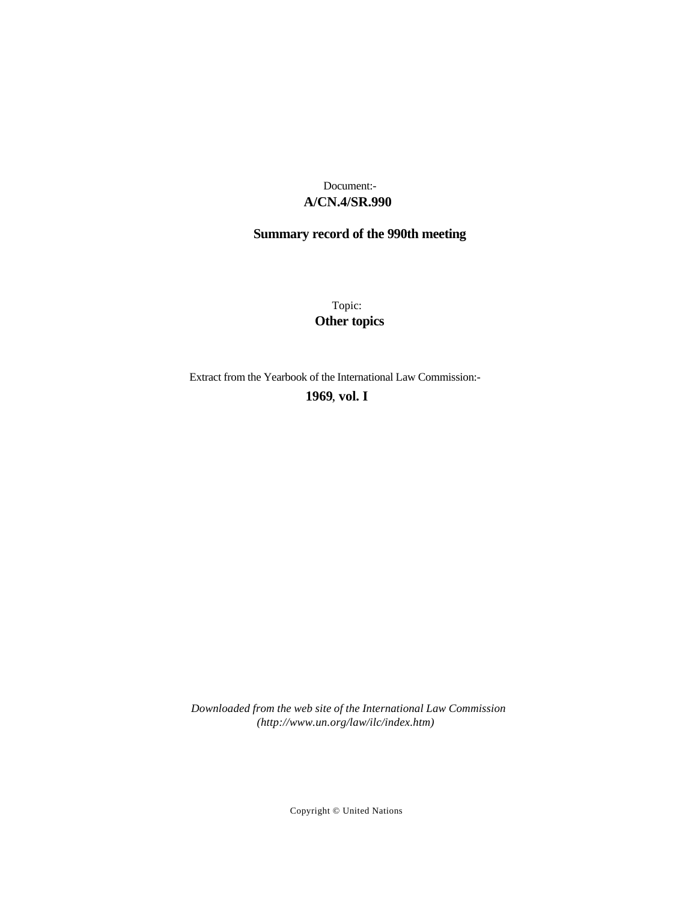### **A/CN.4/SR.990** Document:-

# **Summary record of the 990th meeting**

Topic: **Other topics**

Extract from the Yearbook of the International Law Commission:-

**1969** , **vol. I**

*Downloaded from the web site of the International Law Commission (http://www.un.org/law/ilc/index.htm)*

Copyright © United Nations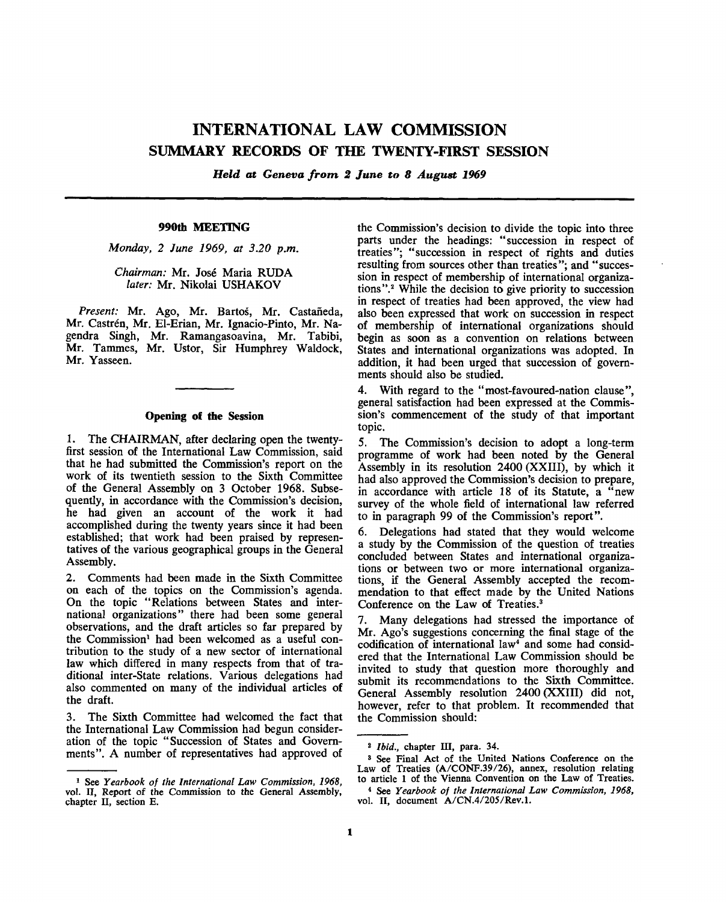## **INTERNATIONAL LAW COMMISSION SUMMARY RECORDS OF THE TWENTY-FIRST SESSION**

*Held at Geneva from 2 June to 8 August 1969*

#### **990th MEETING**

*Monday, 2 June 1969, at 3.20 p.m.*

*Chairman:* Mr. Jose Maria RUDA *later:* Mr. Nikolai USHAKOV

Present: Mr. Ago, Mr. Bartoš, Mr. Castañeda, Mr. Castren, Mr. El-Erian, Mr. Ignacio-Pinto, Mr. Nagendra Singh, Mr. Ramangasoavina, Mr. Tabibi, Mr. Tammes, Mr. Ustor, Sir Humphrey Waldock, Mr. Yasseen.

#### **Opening of the Session**

1. The CHAIRMAN, after declaring open the twentyfirst session of the International Law Commission, said that he had submitted the Commission's report on the work of its twentieth session to the Sixth Committee of the General Assembly on 3 October 1968. Subsequently, in accordance with the Commission's decision, he had given an account of the work it had accomplished during the twenty years since it had been established; that work had been praised by representatives of the various geographical groups in the General Assembly.

2. Comments had been made in the Sixth Committee on each of the topics on the Commission's agenda. On the topic "Relations between States and international organizations" there had been some general observations, and the draft articles so far prepared by the Commission<sup>1</sup> had been welcomed as a useful contribution to the study of a new sector of international law which differed in many respects from that of traditional inter-State relations. Various delegations had also commented on many of the individual articles of the draft.

3. The Sixth Committee had welcomed the fact that the International Law Commission had begun consideration of the topic "Succession of States and Governments". A number of representatives had approved of

the Commission's decision to divide the topic into three parts under the headings: "succession in respect of treaties"; "succession in respect of rights and duties resulting from sources other than treaties"; and "succession in respect of membership of international organizations".<sup>2</sup> While the decision to give priority to succession in respect of treaties had been approved, the view had also been expressed that work on succession in respect of membership of international organizations should begin as soon as a convention on relations between States and international organizations was adopted. In addition, it had been urged that succession of governments should also be studied.

4. With regard to the "most-favoured-nation clause", general satisfaction had been expressed at the Commission's commencement of the study of that important topic.

5. The Commission's decision to adopt a long-term programme of work had been noted by the General Assembly in its resolution 2400 (XXIII), by which it had also approved the Commission's decision to prepare, in accordance with article 18 of its Statute, a "new survey of the whole field of international law referred to in paragraph 99 of the Commission's report".

6. Delegations had stated that they would welcome a study by the Commission of the question of treaties concluded between States and international organizations or between two or more international organizations, if the General Assembly accepted the recommendation to that effect made by the United Nations Conference on the Law of Treaties.<sup>3</sup>

7. Many delegations had stressed the importance of Mr. Ago's suggestions concerning the final stage of the codification of international law<sup>4</sup> and some had considered that the International Law Commission should be invited to study that question more thoroughly and submit its recommendations to the Sixth Committee. General Assembly resolution 2400 (XXIII) did not, however, refer to that problem. It recommended that the Commission should:

<sup>1</sup> See *Yearbook of the International Law Commission, 1968,* vol. II, Report of the Commission to the General Assembly, chapter II, section E.

<sup>2</sup>  *Ibid.,* chapter III, para. 34.

<sup>3</sup> See Final Act of the United Nations Conference on the Law of Treaties (A/CONF.39/26), annex, resolution relating to article 1 of the Vienna Convention on the Law of Treaties.

<sup>4</sup> See *Yearbook of the International Law Commission, 1968,* vol. II, document A/CN.4/205/Rev.l.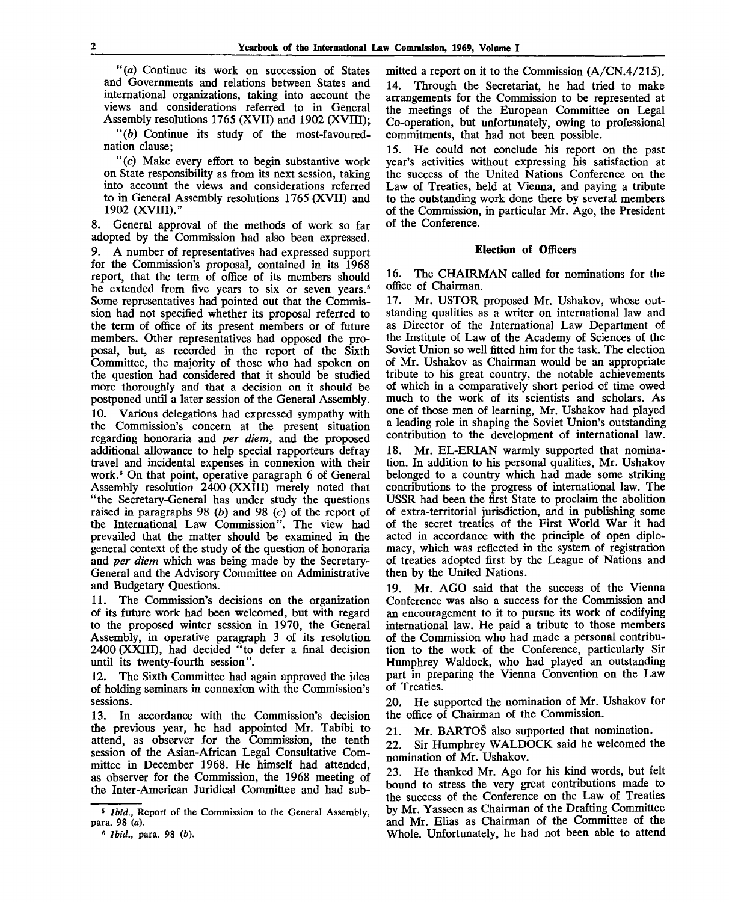*"(a)* Continue its work on succession of States and Governments and relations between States and international organizations, taking into account the views and considerations referred to in General Assembly resolutions 1765 (XVII) and 1902 (XVIII);

*"(b)* Continue its study of the most-favourednation clause;

"(c) Make every effort to begin substantive work on State responsibility as from its next session, taking into account the views and considerations referred to in General Assembly resolutions 1765 (XVII) and 1902 (XVIII)."

8. General approval of the methods of work so far adopted by the Commission had also been expressed. 9. A number of representatives had expressed support for the Commission's proposal, contained in its 1968 report, that the term of office of its members should be extended from five years to six or seven years.<sup>5</sup> Some representatives had pointed out that the Commission had not specified whether its proposal referred to the term of office of its present members or of future members. Other representatives had opposed the proposal, but, as recorded in the report of the Sixth Committee, the majority of those who had spoken on the question had considered that it should be studied more thoroughly and that a decision on it should be postponed until a later session of the General Assembly. 10. Various delegations had expressed sympathy with the Commission's concern at the present situation regarding honoraria and *per diem,* and the proposed additional allowance to help special rapporteurs defray travel and incidental expenses in connexion with their work.<sup>6</sup> On that point, operative paragraph 6 of General Assembly resolution 2400 (XXIII) merely noted that "the Secretary-General has under study the questions raised in paragraphs 98 *(b)* and 98 *(c)* of the report of the International Law Commission". The view had prevailed that the matter should be examined in the general context of the study of the question of honoraria and *per diem* which was being made by the Secretary-General and the Advisory Committee on Administrative and Budgetary Questions.

11. The Commission's decisions on the organization of its future work had been welcomed, but with regard to the proposed winter session in 1970, the General Assembly, in operative paragraph 3 of its resolution 2400 (XXIII), had decided "to defer a final decision until its twenty-fourth session".

12. The Sixth Committee had again approved the idea of holding seminars in connexion with the Commission's sessions.

13. In accordance with the Commission's decision the previous year, he had appointed Mr. Tabibi to attend, as observer fof the Commission, the tenth session of the Asian-African Legal Consultative Committee in December 1968. He himself had attended, as observer for the Commission, the 1968 meeting of the Inter-American Juridical Committee and had submitted a report on it to the Commission (A/CN.4/215). 14. Through the Secretariat, he had tried to make arrangements for the Commission to be represented at the meetings of the European Committee on Legal Co-operation, but unfortunately, owing to professional commitments, that had not been possible.

15. He could not conclude his report on the past year's activities without expressing his satisfaction at the success of the United Nations Conference on the Law of Treaties, held at Vienna, and paying a tribute to the outstanding work done there by several members of the Commission, in particular Mr. Ago, the President of the Conference.

#### **Election of Officers**

16. The CHAIRMAN called for nominations for the office of Chairman.

17. Mr. USTOR proposed Mr. Ushakov, whose outstanding qualities as a writer on international law and as Director of the International Law Department of the Institute of Law of the Academy of Sciences of the Soviet Union so well fitted him for the task. The election of Mr. Ushakov as Chairman would be an appropriate tribute to his great country, the notable achievements of which in a comparatively short period of time owed much to the work of its scientists and scholars. As one of those men of learning, Mr. Ushakov had played a leading role in shaping the Soviet Union's outstanding contribution to the development of international law.

18. Mr. EL-ERIAN warmly supported that nomination. In addition to his personal qualities, Mr. Ushakov belonged to a country which had made some striking contributions to the progress of international law. The USSR had been the first State to proclaim the abolition of extra-territorial jurisdiction, and in publishing some of the secret treaties of the First World War it had acted in accordance with the principle of open diplomacy, which was reflected in the system of registration of treaties adopted first by the League of Nations and then by the United Nations.

19. Mr. AGO said that the success of the Vienna Conference was also a success for the Commission and an encouragement to it to pursue its work of codifying international law. He paid a tribute to those members of the Commission who had made a personal contribution to the work of the Conference, particularly Sir Humphrey Waldock, who had played an outstanding part in preparing the Vienna Convention on the Law of Treaties.

20. He supported the nomination of Mr. Ushakov for the office of Chairman of the Commission.

21. Mr. BARTOS also supported that nomination.

22. Sir Humphrey WALDOCK said he welcomed the nomination of Mr. Ushakov.

23. He thanked Mr. Ago for his kind words, but felt bound to stress the very great contributions made to the success of the Conference on the Law of Treaties by Mr. Yasseen as Chairman of the Drafting Committee and Mr. Elias as Chairman of the Committee of the Whole. Unfortunately, he had not been able to attend

<sup>&</sup>lt;sup>5</sup> *Ibid.*, Report of the Commission to the General Assembly, para. 98 *(a).*

<sup>6</sup> *Ibid.,* para. 98 *(b).*